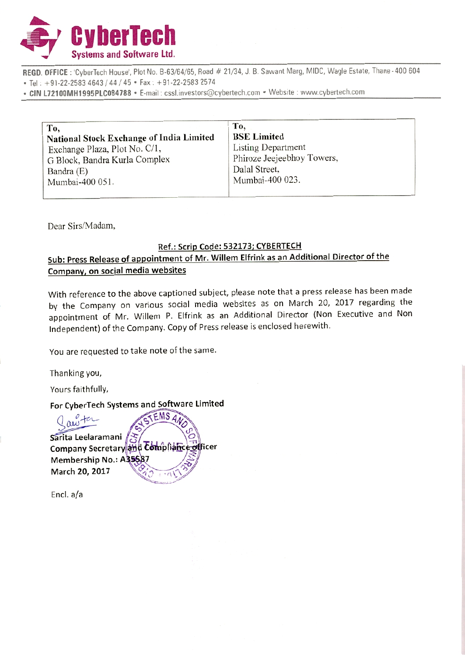

REGD. OFFICE: 'CyberTech House', Plot No. B-63/64/65, Road # 21/34, J. B. Sawant Marg, MIDC, Wagle Estate, Thane - 400 604 • Tel: +91-22-2583 4643 / 44 / 45 • Fax: +91-22-2583 2574

• CIN L72100MH1995PLC084788 • E-mail: cssl.investors@cybertech.com • Website : www.cybertech.com

| To,                                             | Tо,                        |
|-------------------------------------------------|----------------------------|
| <b>National Stock Exchange of India Limited</b> | <b>BSE Limited</b>         |
| Exchange Plaza, Plot No. C/1,                   | <b>Listing Department</b>  |
| G Block, Bandra Kurla Complex                   | Phiroze Jeejeebhoy Towers, |
| Bandra (E)                                      | Dalal Street,              |
| Mumbai-400 051.                                 | Mumbai-400 023.            |
|                                                 |                            |

Dear Sirs/Madam,

#### Ref.: Scrip Code: 532173; CYBERTECH

## Sub: Press Release of appointment of Mr. Willem Elfrink as an Additional Director of the Company, on social media websites

With reference to the above captioned subject, please note that a press release has been made by the Company on various social media websites as on March 20, 2017 regarding the appointment of Mr. Willem P. Elfrink as an Additional Director (Non Executive and Non Independent) of the Company. Copy of Press release is enclosed herewith.

You are requested to take note of the same.

Thanking you,

Yours faithfully,

### For CyberTech Systems and Software Limited

ms and Software Limited<br>STEMS AND ON<br>and Tompliance officer  $\sim$ Sarita Leelaramani Company Secretary and Complianc Membership No.: A35587 March 20, 2017 tficer

End. a/a